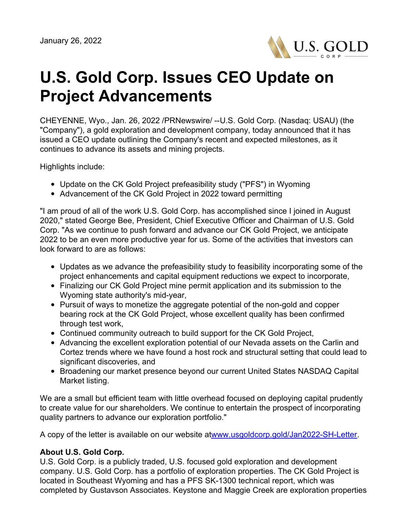

## **U.S. Gold Corp. Issues CEO Update on Project Advancements**

CHEYENNE, Wyo., Jan. 26, 2022 /PRNewswire/ --U.S. Gold Corp. (Nasdaq: USAU) (the "Company"), a gold exploration and development company, today announced that it has issued a CEO update outlining the Company's recent and expected milestones, as it continues to advance its assets and mining projects.

Highlights include:

- Update on the CK Gold Project prefeasibility study ("PFS") in Wyoming
- Advancement of the CK Gold Project in 2022 toward permitting

"I am proud of all of the work U.S. Gold Corp. has accomplished since I joined in August 2020," stated George Bee, President, Chief Executive Officer and Chairman of U.S. Gold Corp. "As we continue to push forward and advance our CK Gold Project, we anticipate 2022 to be an even more productive year for us. Some of the activities that investors can look forward to are as follows:

- Updates as we advance the prefeasibility study to feasibility incorporating some of the project enhancements and capital equipment reductions we expect to incorporate,
- Finalizing our CK Gold Project mine permit application and its submission to the Wyoming state authority's mid-year,
- Pursuit of ways to monetize the aggregate potential of the non-gold and copper bearing rock at the CK Gold Project, whose excellent quality has been confirmed through test work,
- Continued community outreach to build support for the CK Gold Project,
- Advancing the excellent exploration potential of our Nevada assets on the Carlin and Cortez trends where we have found a host rock and structural setting that could lead to significant discoveries, and
- Broadening our market presence beyond our current United States NASDAQ Capital Market listing.

We are a small but efficient team with little overhead focused on deploying capital prudently to create value for our shareholders. We continue to entertain the prospect of incorporating quality partners to advance our exploration portfolio."

A copy of the letter is available on our website a[twww.usgoldcorp.gold/Jan2022-SH-Letter](http://www.usgoldcorp.gold/Jan2022-SH-Letter).

## **About U.S. Gold Corp.**

U.S. Gold Corp. is a publicly traded, U.S. focused gold exploration and development company. U.S. Gold Corp. has a portfolio of exploration properties. The CK Gold Project is located in Southeast Wyoming and has a PFS SK-1300 technical report, which was completed by Gustavson Associates. Keystone and Maggie Creek are exploration properties